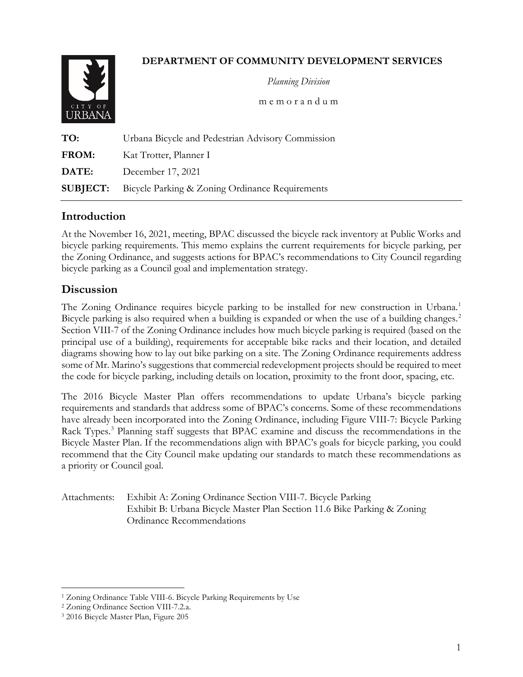# **DEPARTMENT OF COMMUNITY DEVELOPMENT SERVICES**



 *Planning Division*

m e m o r a n d u m

| TO:          | Urbana Bicycle and Pedestrian Advisory Commission               |
|--------------|-----------------------------------------------------------------|
| FROM:        | Kat Trotter, Planner I                                          |
| <b>DATE:</b> | December 17, 2021                                               |
|              | <b>SUBJECT:</b> Bicycle Parking & Zoning Ordinance Requirements |

# **Introduction**

At the November 16, 2021, meeting, BPAC discussed the bicycle rack inventory at Public Works and bicycle parking requirements. This memo explains the current requirements for bicycle parking, per the Zoning Ordinance, and suggests actions for BPAC's recommendations to City Council regarding bicycle parking as a Council goal and implementation strategy.

### **Discussion**

The Zoning Ordinance requires bicycle parking to be installed for new construction in Urbana.<sup>[1](#page-0-0)</sup> Bicycle parking is also required when a building is expanded or when the use of a building changes.<sup>[2](#page-0-1)</sup> Section VIII-7 of the Zoning Ordinance includes how much bicycle parking is required (based on the principal use of a building), requirements for acceptable bike racks and their location, and detailed diagrams showing how to lay out bike parking on a site. The Zoning Ordinance requirements address some of Mr. Marino's suggestions that commercial redevelopment projects should be required to meet the code for bicycle parking, including details on location, proximity to the front door, spacing, etc.

The 2016 Bicycle Master Plan offers recommendations to update Urbana's bicycle parking requirements and standards that address some of BPAC's concerns. Some of these recommendations have already been incorporated into the Zoning Ordinance, including Figure VIII-7: Bicycle Parking Rack Types.<sup>[3](#page-0-2)</sup> Planning staff suggests that BPAC examine and discuss the recommendations in the Bicycle Master Plan. If the recommendations align with BPAC's goals for bicycle parking, you could recommend that the City Council make updating our standards to match these recommendations as a priority or Council goal.

#### Attachments: Exhibit A: Zoning Ordinance Section VIII-7. Bicycle Parking Exhibit B: Urbana Bicycle Master Plan Section 11.6 Bike Parking & Zoning Ordinance Recommendations

<span id="page-0-0"></span><sup>&</sup>lt;sup>1</sup> Zoning Ordinance Table VIII-6. Bicycle Parking Requirements by Use

<span id="page-0-1"></span><sup>2</sup> Zoning Ordinance Section VIII-7.2.a.

<span id="page-0-2"></span><sup>3</sup> 2016 Bicycle Master Plan, Figure 205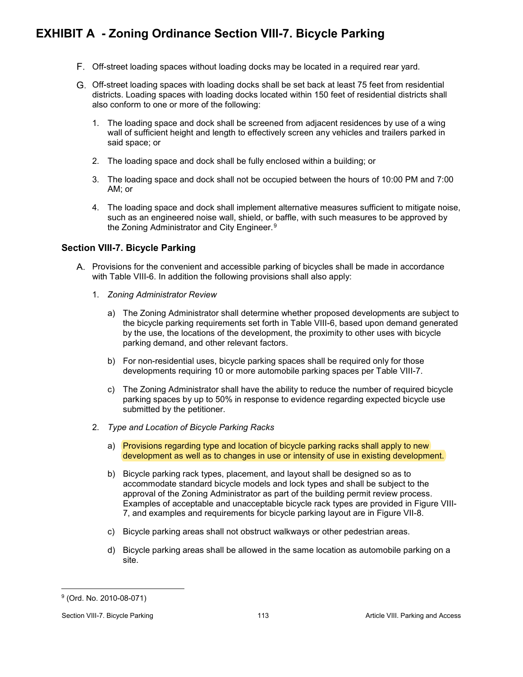# **EXHIBIT A - Zoning Ordinance Section VIII-7. Bicycle Parking**

- Off-street loading spaces without loading docks may be located in a required rear yard.
- Off-street loading spaces with loading docks shall be set back at least 75 feet from residential districts. Loading spaces with loading docks located within 150 feet of residential districts shall also conform to one or more of the following:
	- 1. The loading space and dock shall be screened from adjacent residences by use of a wing wall of sufficient height and length to effectively screen any vehicles and trailers parked in said space; or
	- 2. The loading space and dock shall be fully enclosed within a building; or
	- 3. The loading space and dock shall not be occupied between the hours of 10:00 PM and 7:00 AM; or
	- 4. The loading space and dock shall implement alternative measures sufficient to mitigate noise, such as an engineered noise wall, shield, or baffle, with such measures to be approved by the Zoning Administrator and City Engineer.<sup>[9](#page-1-0)</sup>

#### **Section VIII-7. Bicycle Parking**

- A. Provisions for the convenient and accessible parking of bicycles shall be made in accordance with Table VIII-6. In addition the following provisions shall also apply:
	- 1. *Zoning Administrator Review*
		- a) The Zoning Administrator shall determine whether proposed developments are subject to the bicycle parking requirements set forth in Table VIII-6, based upon demand generated by the use, the locations of the development, the proximity to other uses with bicycle parking demand, and other relevant factors.
		- b) For non-residential uses, bicycle parking spaces shall be required only for those developments requiring 10 or more automobile parking spaces per Table VIII-7.
		- c) The Zoning Administrator shall have the ability to reduce the number of required bicycle parking spaces by up to 50% in response to evidence regarding expected bicycle use submitted by the petitioner.
	- 2. *Type and Location of Bicycle Parking Racks*
		- a) Provisions regarding type and location of bicycle parking racks shall apply to new development as well as to changes in use or intensity of use in existing development.
		- b) Bicycle parking rack types, placement, and layout shall be designed so as to accommodate standard bicycle models and lock types and shall be subject to the approval of the Zoning Administrator as part of the building permit review process. Examples of acceptable and unacceptable bicycle rack types are provided in Figure VIII-7, and examples and requirements for bicycle parking layout are in Figure VII-8.
		- c) Bicycle parking areas shall not obstruct walkways or other pedestrian areas.
		- d) Bicycle parking areas shall be allowed in the same location as automobile parking on a site.

<span id="page-1-0"></span><sup>9</sup> (Ord. No. 2010-08-071)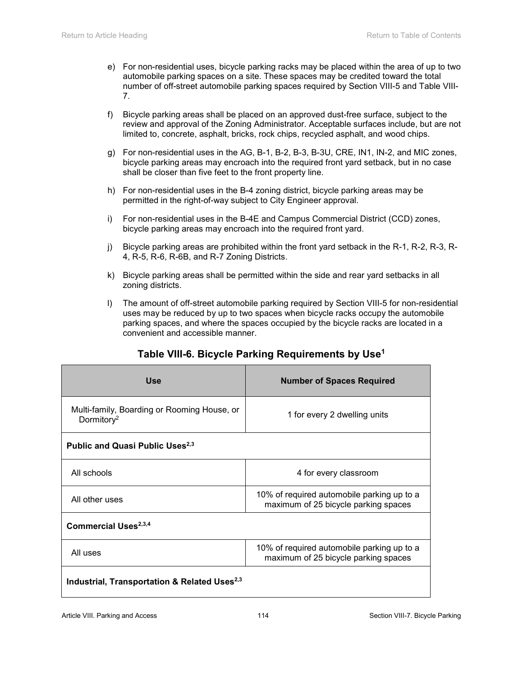- e) For non-residential uses, bicycle parking racks may be placed within the area of up to two automobile parking spaces on a site. These spaces may be credited toward the total number of off-street automobile parking spaces required by Section VIII-5 and Table VIII-7.
- f) Bicycle parking areas shall be placed on an approved dust-free surface, subject to the review and approval of the Zoning Administrator. Acceptable surfaces include, but are not limited to, concrete, asphalt, bricks, rock chips, recycled asphalt, and wood chips.
- g) For non-residential uses in the AG, B-1, B-2, B-3, B-3U, CRE, IN1, IN-2, and MIC zones, bicycle parking areas may encroach into the required front yard setback, but in no case shall be closer than five feet to the front property line.
- h) For non-residential uses in the B-4 zoning district, bicycle parking areas may be permitted in the right-of-way subject to City Engineer approval.
- i) For non-residential uses in the B-4E and Campus Commercial District (CCD) zones, bicycle parking areas may encroach into the required front yard.
- j) Bicycle parking areas are prohibited within the front yard setback in the R-1, R-2, R-3, R-4, R-5, R-6, R-6B, and R-7 Zoning Districts.
- k) Bicycle parking areas shall be permitted within the side and rear yard setbacks in all zoning districts.
- l) The amount of off-street automobile parking required by Section VIII-5 for non-residential uses may be reduced by up to two spaces when bicycle racks occupy the automobile parking spaces, and where the spaces occupied by the bicycle racks are located in a convenient and accessible manner.

| <b>Use</b>                                                            | <b>Number of Spaces Required</b>                                                   |  |  |  |  |
|-----------------------------------------------------------------------|------------------------------------------------------------------------------------|--|--|--|--|
| Multi-family, Boarding or Rooming House, or<br>Dormitory <sup>2</sup> | 1 for every 2 dwelling units                                                       |  |  |  |  |
| Public and Quasi Public Uses <sup>2,3</sup>                           |                                                                                    |  |  |  |  |
| All schools                                                           | 4 for every classroom                                                              |  |  |  |  |
| All other uses                                                        | 10% of required automobile parking up to a<br>maximum of 25 bicycle parking spaces |  |  |  |  |
| Commercial Uses <sup>2,3,4</sup>                                      |                                                                                    |  |  |  |  |
| All uses                                                              | 10% of required automobile parking up to a<br>maximum of 25 bicycle parking spaces |  |  |  |  |
| Industrial, Transportation & Related Uses <sup>2,3</sup>              |                                                                                    |  |  |  |  |

# **Table VIII-6. Bicycle Parking Requirements by Use1**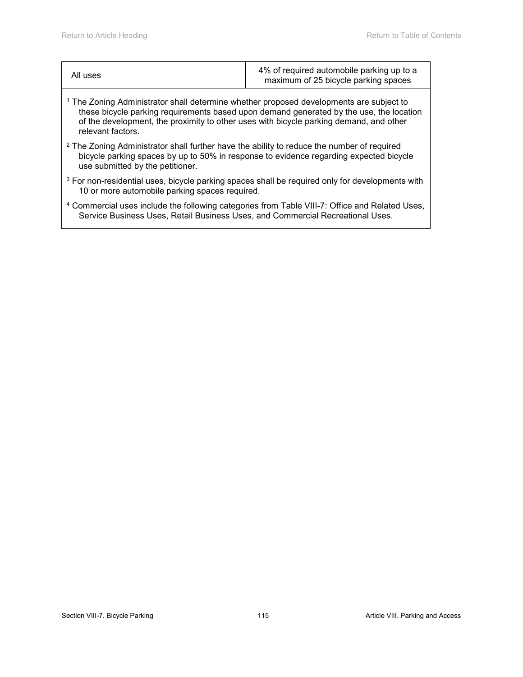| All uses | 4% of required automobile parking up to a<br>maximum of 25 bicycle parking spaces |
|----------|-----------------------------------------------------------------------------------|
|          |                                                                                   |

- <sup>1</sup> The Zoning Administrator shall determine whether proposed developments are subject to these bicycle parking requirements based upon demand generated by the use, the location of the development, the proximity to other uses with bicycle parking demand, and other relevant factors.
- <sup>2</sup> The Zoning Administrator shall further have the ability to reduce the number of required bicycle parking spaces by up to 50% in response to evidence regarding expected bicycle use submitted by the petitioner.
- <sup>3</sup> For non-residential uses, bicycle parking spaces shall be required only for developments with 10 or more automobile parking spaces required.
- <sup>4</sup> Commercial uses include the following categories from Table VIII-7: Office and Related Uses, Service Business Uses, Retail Business Uses, and Commercial Recreational Uses.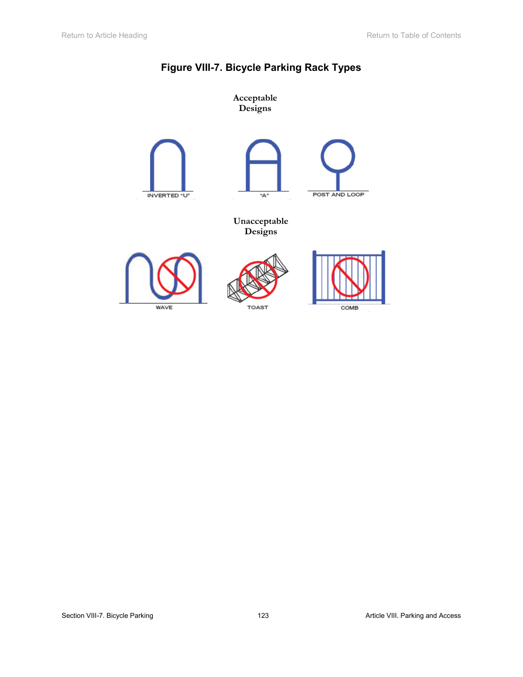

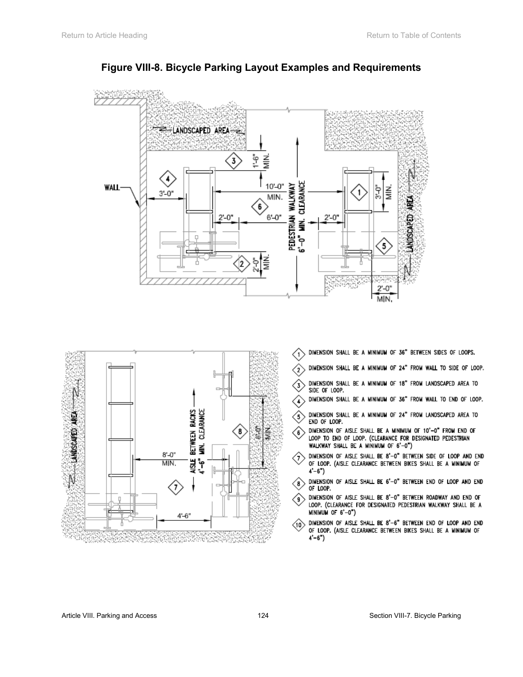





- DIMENSION SHALL BE A MINIMUM OF 36" BETWEEN SIDES OF LOOPS. ′1
- DIMENSION SHALL BE A MINIMUM OF 24" FROM WALL TO SIDE OF LOOP.  $\sqrt{2}$
- DIMENSION SHALL BE A MINIMUM OF 18" FROM LANDSCAPED AREA TO  $\langle \overline{\textbf{3}} \rangle$ SIDE OF LOOP.
- DIMENSION SHALL BE A MINIMUM OF 36" FROM WALL TO END OF LOOP.  $\left( 4\right)$
- DIMENSION SHALL BE A MINIMUM OF 24" FROM LANDSCAPED AREA TO  $\left\langle \right\rangle$ END OF LOOP.
- DIMENSION OF AISLE SHALL BE A MINIMUM OF 10'-0" FROM END OF LOOP TO END OF LOOP. (CLEARANCE FOR DESIGNATED PEDESTRIAN WALKWAY SHALL BE A MINIMUM OF 6'-0")
- DIMENSION OF AISLE SHALL BE 8'-0" BETWEEN SIDE OF LOOP AND END Ο. OF LOOP. (AISLE CLEARANCE BETWEEN BIKES SHALL BE A MINIMUM OF  $4'-6'$ )
- DIMENSION OF AISLE SHALL BE 6'-0" BETWEEN END OF LOOP AND END  $\langle$ 8 $\rangle$ OF LOOP.
- DIMENSION OF AISLE SHALL BE 8'-0" BETWEEN ROADWAY AND END OF  $\langle \scriptstyle \bullet \rangle$ LOOP. (CLEARANCE FOR DESIGNATED PEDESTRIAN WALKWAY SHALL BE A  $MINIMUM OF 6' - 0")$
- DIMENSION OF AISLE SHALL BE 8'-6" BETWEEN END OF LOOP AND END  $\langle 10 \rangle$ OF LOOP. (AISLE CLEARANCE BETWEEN BIKES SHALL BE A MINIMUM OF  $4'-6")$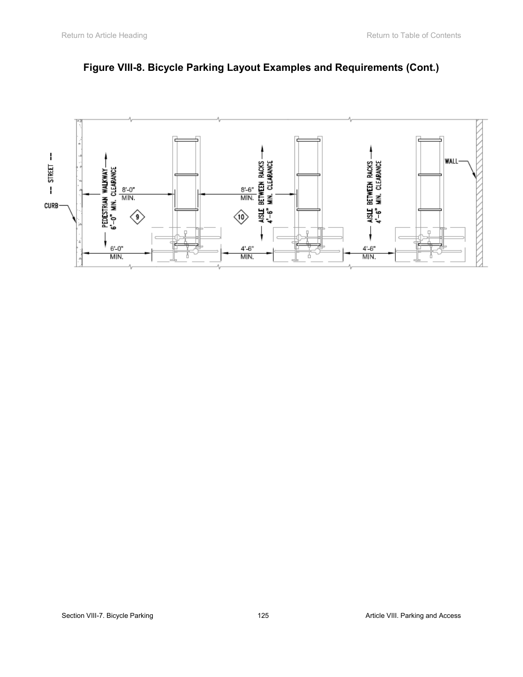

# **Figure VIII-8. Bicycle Parking Layout Examples and Requirements (Cont.)**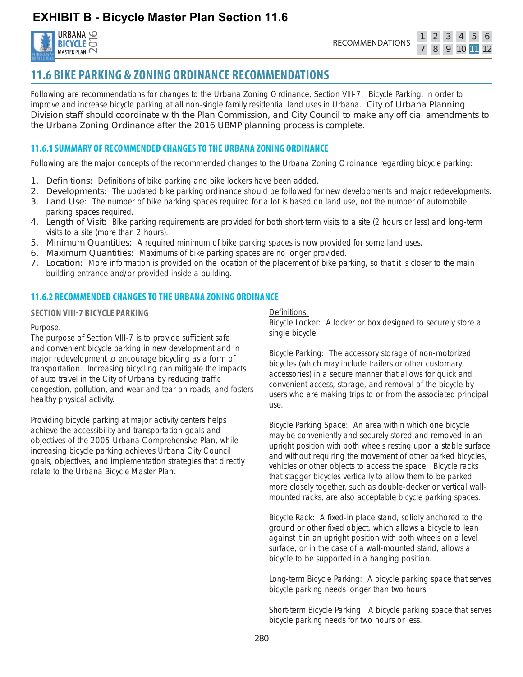**EXHIBIT B - Bicycle Master Plan Section 11.6**



3 4 5

 $\overline{2}$ 

# **11.6 BIKE PARKING & ZONING ORDINANCE RECOMMENDATIONS**

Following are recommendations for changes to the Urbana Zoning Ordinance, Section VIII-7: Bicycle Parking, in order to improve and increase bicycle parking at all non-single family residential land uses in Urbana. City of Urbana Planning Division staff should coordinate with the Plan Commission, and City Council to make any official amendments to the Urbana Zoning Ordinance after the 2016 UBMP planning process is complete.

#### **11.6.1 SUMMARY OF RECOMMENDED CHANGES TO THE URBANA ZONING ORDINANCE**

Following are the major concepts of the recommended changes to the Urbana Zoning Ordinance regarding bicycle parking:

- **1. Definitions:** Definitions of bike parking and bike lockers have been added.
- 2. Developments: The updated bike parking ordinance should be followed for new developments and major redevelopments.
- 3. Land Use: The number of bike parking spaces required for a lot is based on land use, not the number of automobile parking spaces required.
- 4. Length of Visit: Bike parking requirements are provided for both short-term visits to a site (2 hours or less) and long-term visits to a site (more than 2 hours).
- 5. Minimum Quantities: A required minimum of bike parking spaces is now provided for some land uses.
- 6. Maximum Quantities: Maximums of bike parking spaces are no longer provided.
- 7. Location: More information is provided on the location of the placement of bike parking, so that it is closer to the main building entrance and/or provided inside a building.

### **11.6.2 RECOMMENDED CHANGES TO THE URBANA ZONING ORDINANCE**

#### **SECTION VIII-7 BICYCLE PARKING**

#### *Purpose.*

The purpose of Section VIII-7 is to provide sufficient safe and convenient bicycle parking in new development and in major redevelopment to encourage bicycling as a form of transportation. Increasing bicycling can mitigate the impacts of auto travel in the City of Urbana by reducing traffic congestion, pollution, and wear and tear on roads, and fosters healthy physical activity.

Providing bicycle parking at major activity centers helps achieve the accessibility and transportation goals and objectives of the 2005 Urbana Comprehensive Plan, while increasing bicycle parking achieves Urbana City Council goals, objectives, and implementation strategies that directly relate to the Urbana Bicycle Master Plan.

#### *Definitions:*

Bicycle Locker: A locker or box designed to securely store a single bicycle.

Bicycle Parking: The accessory storage of non-motorized bicycles (which may include trailers or other customary accessories) in a secure manner that allows for quick and convenient access, storage, and removal of the bicycle by users who are making trips to or from the associated principal use.

Bicycle Parking Space: An area within which one bicycle may be conveniently and securely stored and removed in an upright position with both wheels resting upon a stable surface and without requiring the movement of other parked bicycles, vehicles or other objects to access the space. Bicycle racks that stagger bicycles vertically to allow them to be parked more closely together, such as double-decker or vertical wallmounted racks, are also acceptable bicycle parking spaces.

Bicycle Rack: A fixed-in place stand, solidly anchored to the ground or other fixed object, which allows a bicycle to lean against it in an upright position with both wheels on a level surface, or in the case of a wall-mounted stand, allows a bicycle to be supported in a hanging position.

Long-term Bicycle Parking: A bicycle parking space that serves bicycle parking needs longer than two hours.

Short-term Bicycle Parking: A bicycle parking space that serves bicycle parking needs for two hours or less.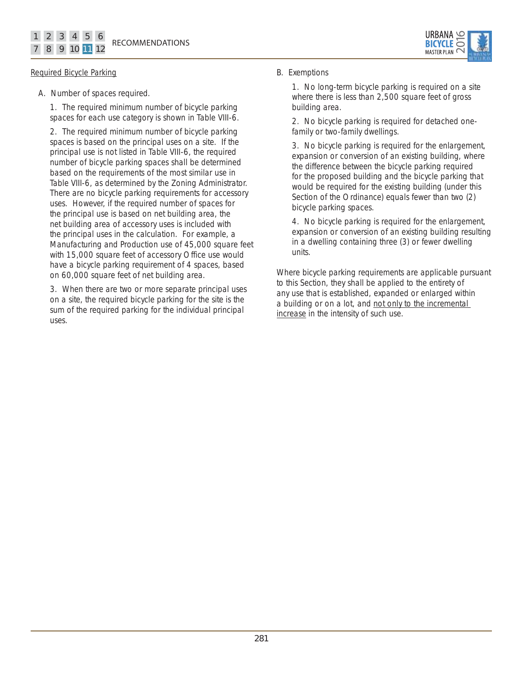

#### *Required Bicycle Parking*

A. Number of spaces required.

1. The required minimum number of bicycle parking spaces for each use category is shown in Table VIII-6.

2. The required minimum number of bicycle parking spaces is based on the principal uses on a site. If the principal use is not listed in Table VIII-6, the required number of bicycle parking spaces shall be determined based on the requirements of the most similar use in Table VIII-6, as determined by the Zoning Administrator. There are no bicycle parking requirements for accessory uses. However, if the required number of spaces for the principal use is based on net building area, the net building area of accessory uses is included with the principal uses in the calculation. For example, a Manufacturing and Production use of 45,000 square feet with 15,000 square feet of accessory Office use would have a bicycle parking requirement of 4 spaces, based on 60,000 square feet of net building area.

3. When there are two or more separate principal uses on a site, the required bicycle parking for the site is the sum of the required parking for the individual principal uses.

#### B. Exemptions

1. No long-term bicycle parking is required on a site where there is less than 2,500 square feet of gross building area.

2. No bicycle parking is required for detached onefamily or two-family dwellings.

3. No bicycle parking is required for the enlargement, expansion or conversion of an existing building, where the difference between the bicycle parking required for the proposed building and the bicycle parking that would be required for the existing building (under this Section of the Ordinance) equals fewer than two (2) bicycle parking spaces.

4. No bicycle parking is required for the enlargement, expansion or conversion of an existing building resulting in a dwelling containing three (3) or fewer dwelling units.

Where bicycle parking requirements are applicable pursuant to this Section, they shall be applied to the entirety of any use that is established, expanded or enlarged within a building or on a lot, and not only to the incremental increase in the intensity of such use.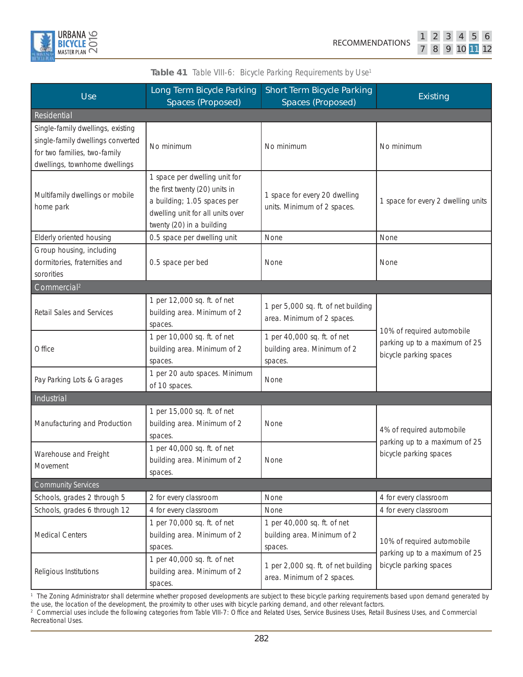

|  |  | 10 11 |  |
|--|--|-------|--|

| <b>Use</b>                                                                                                                              | <b>Long Term Bicycle Parking</b><br><b>Spaces (Proposed)</b>                                                                                                    | <b>Short Term Bicycle Parking</b><br><b>Spaces (Proposed)</b>         | <b>Existing</b>                                                                       |  |
|-----------------------------------------------------------------------------------------------------------------------------------------|-----------------------------------------------------------------------------------------------------------------------------------------------------------------|-----------------------------------------------------------------------|---------------------------------------------------------------------------------------|--|
| Residential                                                                                                                             |                                                                                                                                                                 |                                                                       |                                                                                       |  |
| Single-family dwellings, existing<br>single-family dwellings converted<br>for two families, two-family<br>dwellings, townhome dwellings | No minimum                                                                                                                                                      | No minimum                                                            | No minimum                                                                            |  |
| Multifamily dwellings or mobile<br>home park                                                                                            | 1 space per dwelling unit for<br>the first twenty (20) units in<br>a building; 1.05 spaces per<br>dwelling unit for all units over<br>twenty (20) in a building | 1 space for every 20 dwelling<br>units. Minimum of 2 spaces.          | 1 space for every 2 dwelling units                                                    |  |
| Elderly oriented housing                                                                                                                | 0.5 space per dwelling unit                                                                                                                                     | None                                                                  | None                                                                                  |  |
| Group housing, including<br>dormitories, fraternities and<br>sororities                                                                 | 0.5 space per bed                                                                                                                                               | None                                                                  | None                                                                                  |  |
| Commercial <sup>2</sup>                                                                                                                 |                                                                                                                                                                 |                                                                       |                                                                                       |  |
| Retail Sales and Services                                                                                                               | 1 per 12,000 sq. ft. of net<br>building area. Minimum of 2<br>spaces.                                                                                           | 1 per 5,000 sq. ft. of net building<br>area. Minimum of 2 spaces.     | 10% of required automobile<br>parking up to a maximum of 25<br>bicycle parking spaces |  |
| Office                                                                                                                                  | 1 per 10,000 sq. ft. of net<br>building area. Minimum of 2<br>spaces.                                                                                           | 1 per 40,000 sq. ft. of net<br>building area. Minimum of 2<br>spaces. |                                                                                       |  |
| Pay Parking Lots & Garages                                                                                                              | 1 per 20 auto spaces. Minimum<br>of 10 spaces.                                                                                                                  | None                                                                  |                                                                                       |  |
| Industrial                                                                                                                              |                                                                                                                                                                 |                                                                       |                                                                                       |  |
| Manufacturing and Production                                                                                                            | 1 per 15,000 sq. ft. of net<br>building area. Minimum of 2<br>spaces.                                                                                           | None                                                                  | 4% of required automobile<br>parking up to a maximum of 25<br>bicycle parking spaces  |  |
| Warehouse and Freight<br>Movement                                                                                                       | 1 per 40,000 sq. ft. of net<br>building area. Minimum of 2<br>spaces.                                                                                           | None                                                                  |                                                                                       |  |
| <b>Community Services</b>                                                                                                               |                                                                                                                                                                 |                                                                       |                                                                                       |  |
| Schools, grades 2 through 5                                                                                                             | 2 for every classroom                                                                                                                                           | None                                                                  | 4 for every classroom                                                                 |  |
| Schools, grades 6 through 12                                                                                                            | 4 for every classroom                                                                                                                                           | None                                                                  | 4 for every classroom                                                                 |  |
| <b>Medical Centers</b>                                                                                                                  | 1 per 70,000 sq. ft. of net<br>building area. Minimum of 2<br>spaces.                                                                                           | 1 per 40,000 sq. ft. of net<br>building area. Minimum of 2<br>spaces. | 10% of required automobile<br>parking up to a maximum of 25<br>bicycle parking spaces |  |
| Religious Institutions                                                                                                                  | 1 per 40,000 sq. ft. of net<br>building area. Minimum of 2<br>spaces.                                                                                           | 1 per 2,000 sq. ft. of net building<br>area. Minimum of 2 spaces.     |                                                                                       |  |

Table 41 Table VIII-6: Bicycle Parking Requirements by Use<sup>1</sup>

<sup>1</sup> The Zoning Administrator shall determine whether proposed developments are subject to these bicycle parking requirements based upon demand generated by the use, the location of the development, the proximity to other uses with bicycle parking demand, and other relevant factors. 2 Commercial uses include the following categories from Table VIII-7: Office and Related Uses, Service Business Uses, Retail Business Uses, and Commercial

Recreational Uses.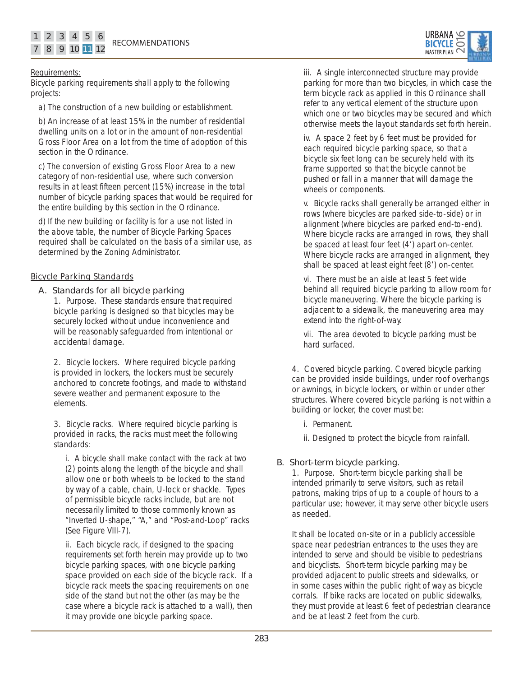

#### Requirements:

Bicycle parking requirements shall apply to the following projects:

a) The construction of a new building or establishment.

b) An increase of at least 15% in the number of residential dwelling units on a lot or in the amount of non-residential Gross Floor Area on a lot from the time of adoption of this section in the Ordinance.

c) The conversion of existing Gross Floor Area to a new category of non-residential use, where such conversion results in at least fifteen percent (15%) increase in the total number of bicycle parking spaces that would be required for the entire building by this section in the Ordinance.

d) If the new building or facility is for a use not listed in the above table, the number of Bicycle Parking Spaces required shall be calculated on the basis of a similar use, as determined by the Zoning Administrator.

#### *Bicycle Parking Standards*

#### A. Standards for all bicycle parking

1. Purpose. These standards ensure that required bicycle parking is designed so that bicycles may be securely locked without undue inconvenience and will be reasonably safeguarded from intentional or accidental damage.

2. Bicycle lockers. Where required bicycle parking is provided in lockers, the lockers must be securely anchored to concrete footings, and made to withstand severe weather and permanent exposure to the elements.

3. Bicycle racks. Where required bicycle parking is provided in racks, the racks must meet the following standards:

i. A bicycle shall make contact with the rack at two (2) points along the length of the bicycle and shall allow one or both wheels to be locked to the stand by way of a cable, chain, U-lock or shackle. Types of permissible bicycle racks include, but are not necessarily limited to those commonly known as "Inverted U-shape," "A," and "Post-and-Loop" racks (See Figure VIII-7).

ii. Each bicycle rack, if designed to the spacing requirements set forth herein may provide up to two bicycle parking spaces, with one bicycle parking space provided on each side of the bicycle rack. If a bicycle rack meets the spacing requirements on one side of the stand but not the other (as may be the case where a bicycle rack is attached to a wall), then it may provide one bicycle parking space.

iii. A single interconnected structure may provide parking for more than two bicycles, in which case the term bicycle rack as applied in this Ordinance shall refer to any vertical element of the structure upon which one or two bicycles may be secured and which otherwise meets the layout standards set forth herein.

iv. A space 2 feet by 6 feet must be provided for each required bicycle parking space, so that a bicycle six feet long can be securely held with its frame supported so that the bicycle cannot be pushed or fall in a manner that will damage the wheels or components.

v. Bicycle racks shall generally be arranged either in rows (where bicycles are parked side-to -side) or in alignment (where bicycles are parked end-to-end). Where bicycle racks are arranged in rows, they shall be spaced at least four feet (4') apart on-center. Where bicycle racks are arranged in alignment, they shall be spaced at least eight feet (8') on-center.

vi. There must be an aisle at least 5 feet wide behind all required bicycle parking to allow room for bicycle maneuvering. Where the bicycle parking is adjacent to a sidewalk, the maneuvering area may extend into the right-of-way.

vii. The area devoted to bicycle parking must be hard surfaced.

4. Covered bicycle parking. Covered bicycle parking can be provided inside buildings, under roof overhangs or awnings, in bicycle lockers, or within or under other structures. Where covered bicycle parking is not within a building or locker, the cover must be:

- i. Permanent.
- ii. Designed to protect the bicycle from rainfall.

#### B. Short-term bicycle parking.

1. Purpose. Short-term bicycle parking shall be intended primarily to serve visitors, such as retail patrons, making trips of up to a couple of hours to a particular use; however, it may serve other bicycle users as needed.

It shall be located on-site or in a publicly accessible space near pedestrian entrances to the uses they are intended to serve and should be visible to pedestrians and bicyclists. Short-term bicycle parking may be provided adjacent to public streets and sidewalks, or in some cases within the public right of way as bicycle corrals. If bike racks are located on public sidewalks, they must provide at least 6 feet of pedestrian clearance and be at least 2 feet from the curb.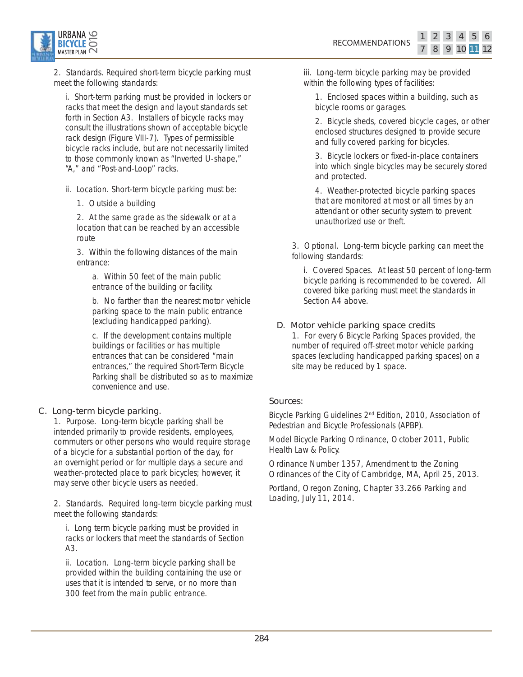

2. Standards. Required short-term bicycle parking must meet the following standards:

i. Short-term parking must be provided in lockers or racks that meet the design and layout standards set forth in Section A3. Installers of bicycle racks may consult the illustrations shown of acceptable bicycle rack design (Figure VIII-7). Types of permissible bicycle racks include, but are not necessarily limited to those commonly known as "Inverted U-shape," "A," and "Post-and-Loop" racks.

ii. Location. Short-term bicycle parking must be:

1. Outside a building

2. At the same grade as the sidewalk or at a location that can be reached by an accessible route

3. Within the following distances of the main entrance:

a. Within 50 feet of the main public entrance of the building or facility.

b. No farther than the nearest motor vehicle parking space to the main public entrance (excluding handicapped parking).

c. If the development contains multiple buildings or facilities or has multiple entrances that can be considered "main entrances," the required Short-Term Bicycle Parking shall be distributed so as to maximize convenience and use.

#### C. Long-term bicycle parking.

1. Purpose. Long-term bicycle parking shall be intended primarily to provide residents, employees, commuters or other persons who would require storage of a bicycle for a substantial portion of the day, for an overnight period or for multiple days a secure and weather-protected place to park bicycles; however, it may serve other bicycle users as needed.

2. Standards. Required long-term bicycle parking must meet the following standards:

i. Long term bicycle parking must be provided in racks or lockers that meet the standards of Section A3.

ii. Location. Long-term bicycle parking shall be provided within the building containing the use or uses that it is intended to serve, or no more than 300 feet from the main public entrance.

iii. Long-term bicycle parking may be provided within the following types of facilities:

1. Enclosed spaces within a building, such as bicycle rooms or garages.

2. Bicycle sheds, covered bicycle cages, or other enclosed structures designed to provide secure and fully covered parking for bicycles.

11 3 5 6

8 9 10

 $2<sup>1</sup>$ 

3. Bicycle lockers or fixed-in-place containers into which single bicycles may be securely stored and protected.

4. Weather-protected bicycle parking spaces that are monitored at most or all times by an attendant or other security system to prevent unauthorized use or theft.

3. Optional. Long-term bicycle parking can meet the following standards:

i. Covered Spaces. At least 50 percent of long-term bicycle parking is recommended to be covered. All covered bike parking must meet the standards in Section A4 above.

#### D. Motor vehicle parking space credits

1. For every 6 Bicycle Parking Spaces provided, the number of required off-street motor vehicle parking spaces (excluding handicapped parking spaces) on a site may be reduced by 1 space.

#### Sources:

*Bicycle Parking Guidelines 2nd Edition*, 2010, Association of Pedestrian and Bicycle Professionals (APBP).

*Model Bicycle Parking Ordinance*, October 2011, Public Health Law & Policy.

Ordinance Number 1357, Amendment to the Zoning Ordinances of the City of Cambridge, MA, April 25, 2013.

Portland, Oregon Zoning, Chapter 33.266 Parking and Loading, July 11, 2014.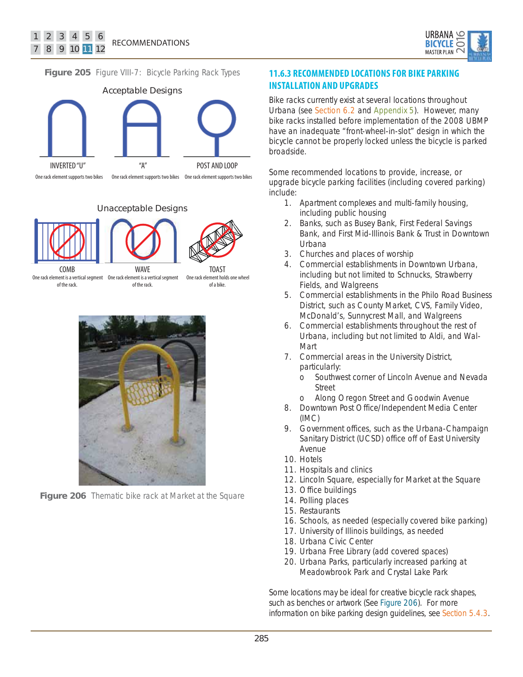

**Figure 205** Figure VIII-7: Bicycle Parking Rack Types



Unacceptable Designs



of the rack. of the rack.

of a bike.



**Figure 206** Thematic bike rack at Market at the Square

### **11.6.3 RECOMMENDED LOCATIONS FOR BIKE PARKING INSTALLATION AND UPGRADES**

Bike racks currently exist at several locations throughout Urbana (see Section 6.2 and Appendix 5). However, many bike racks installed before implementation of the 2008 UBMP have an inadequate "front-wheel-in-slot" design in which the bicycle cannot be properly locked unless the bicycle is parked broadside.

Some recommended locations to provide, increase, or upgrade bicycle parking facilities (including covered parking) include:

- 1. Apartment complexes and multi-family housing, including public housing
- 2. Banks, such as Busey Bank, First Federal Savings Bank, and First Mid-Illinois Bank & Trust in Downtown **Urbana**
- 3. Churches and places of worship
- 4. Commercial establishments in Downtown Urbana, including but not limited to Schnucks, Strawberry Fields, and Walgreens
- 5. Commercial establishments in the Philo Road Business District, such as County Market, CVS, Family Video, McDonald's, Sunnycrest Mall, and Walgreens
- 6. Commercial establishments throughout the rest of Urbana, including but not limited to Aldi, and Wal-Mart
- 7. Commercial areas in the University District, particularly:
	- o Southwest corner of Lincoln Avenue and Nevada Street
	- o Along Oregon Street and Goodwin Avenue
- 8. Downtown Post Office/Independent Media Center (IMC)
- 9. Government offices, such as the Urbana-Champaign Sanitary District (UCSD) office off of East University Avenue
- 10. Hotels
- 11. Hospitals and clinics
- 12. Lincoln Square, especially for Market at the Square
- 13. Office buildings
- 14. Polling places
- 15. Restaurants
- 16. Schools, as needed (especially covered bike parking)
- 17. University of Illinois buildings, as needed
- 18. Urbana Civic Center
- 19. Urbana Free Library (add covered spaces)
- 20. Urbana Parks, particularly increased parking at Meadowbrook Park and Crystal Lake Park

Some locations may be ideal for creative bicycle rack shapes, such as benches or artwork (See Figure 206). For more information on bike parking design guidelines, see Section 5.4.3.